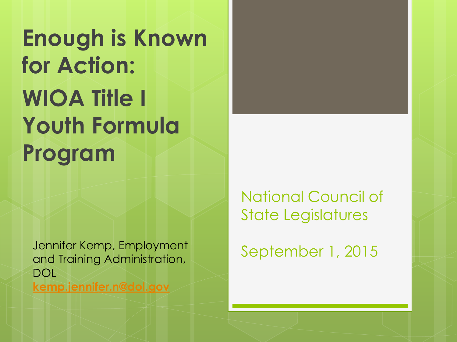**Enough is Known for Action: WIOA Title I Youth Formula Program**

Jennifer Kemp, Employment and Training Administration, DOL **[kemp.jennifer.n@dol.gov](mailto:kemp.jennifer.n@dol.gov)**

National Council of State Legislatures

September 1, 2015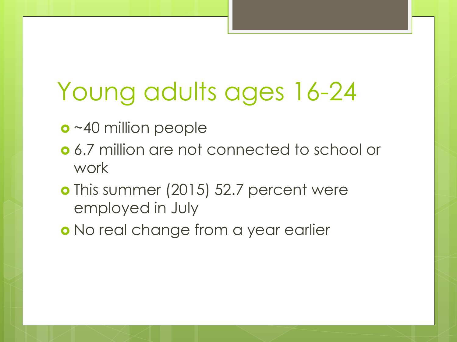# Young adults ages 16-24

- o ~40 million people
- 6.7 million are not connected to school or work
- o This summer (2015) 52.7 percent were employed in July
- o No real change from a year earlier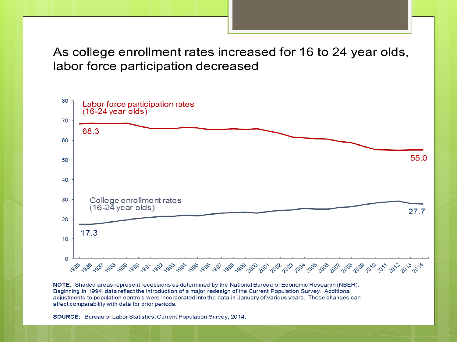As college enrollment rates increased for 16 to 24 year olds, labor force participation decreased



NOTE: Shaded areas represent recessions as determined by the National Bureau of Economic Research (NBER). Beginning in 1994, data reflect the introduction of a major redesign of the Current Population Survey. Additional adjustments to population controls were incorporated into the data in January of various years. These changes can affect comparability with data for prior periods.

SOURCE: Bureau of Labor Statistics, Current Population Survey, 2014.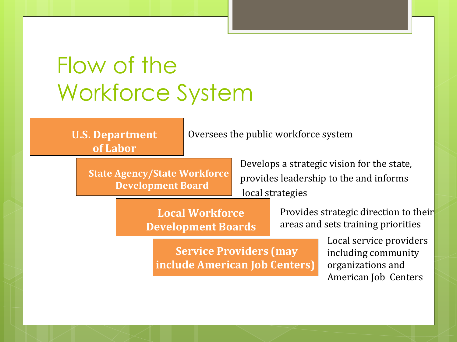### Flow of the Workforce System

**U.S. Department of Labor**

Oversees the public workforce system

**State Agency/State Workforce Development Board**

Develops a strategic vision for the state, provides leadership to the and informs local strategies

**Local Workforce Development Boards**  Provides strategic direction to their areas and sets training priorities

**Service Providers (may include American Job Centers)**

Local service providers including community organizations and American Job Centers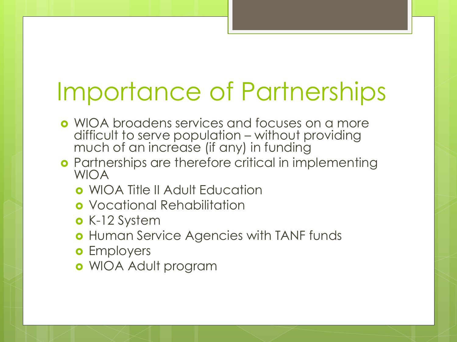# Importance of Partnerships

- WIOA broadens services and focuses on a more difficult to serve population – without providing much of an increase (if any) in funding
- **o** Partnerships are therefore critical in implementing WIOA
	- WIOA Title II Adult Education
	- **o** Vocational Rehabilitation
	- K-12 System
	- **o** Human Service Agencies with TANF funds
	- **o** Employers
	- WIOA Adult program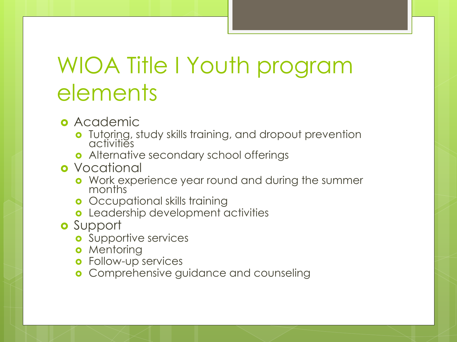#### WIOA Title I Youth program elements

- **o** Academic
	- **o** Tutoring, study skills training, and dropout prevention activities
	- **o** Alternative secondary school offerings
- **o** Vocational
	- **•** Work experience year round and during the summer months
	- **o** Occupational skills training
	- Leadership development activities
- o Support
	- **o** Supportive services
	- **o** Mentoring
	- **o** Follow-up services
	- **o** Comprehensive guidance and counseling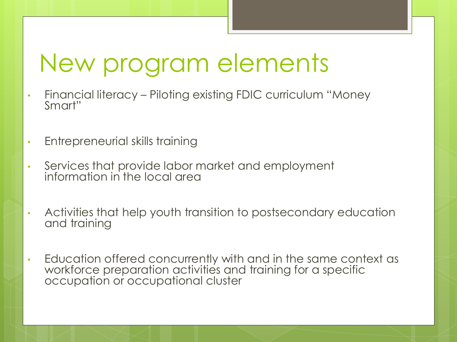## New program elements

- Financial literacy Piloting existing FDIC curriculum "Money Smart"
- Entrepreneurial skills training
- Services that provide labor market and employment information in the local area
- Activities that help youth transition to postsecondary education and training
- Education offered concurrently with and in the same context as workforce preparation activities and training for a specific occupation or occupational cluster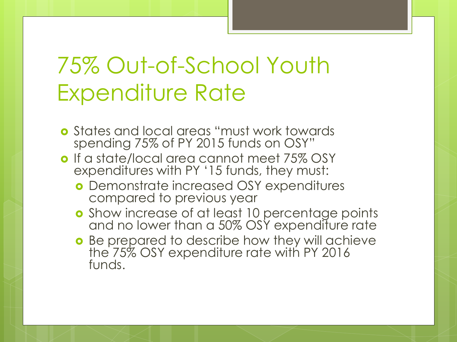#### 75% Out-of-School Youth Expenditure Rate

- States and local areas "must work towards spending 75% of PY 2015 funds on OSY"
- o If a state/local area cannot meet 75% OSY expenditures with PY '15 funds, they must:
	- Demonstrate increased OSY expenditures compared to previous year
	- **o** Show increase of at least 10 percentage points and no lower than a 50% OSY expenditure rate
	- o Be prepared to describe how they will achieve the 75% OSY expenditure rate with PY 2016 funds.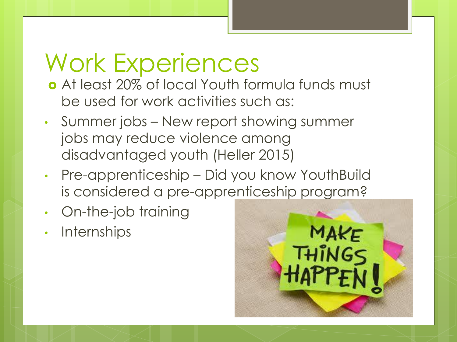#### Work Experiences

- At least 20% of local Youth formula funds must be used for work activities such as:
- Summer jobs New report showing summer jobs may reduce violence among disadvantaged youth (Heller 2015)
- Pre-apprenticeship Did you know YouthBuild is considered a pre-apprenticeship program?
- On-the-job training
- Internships

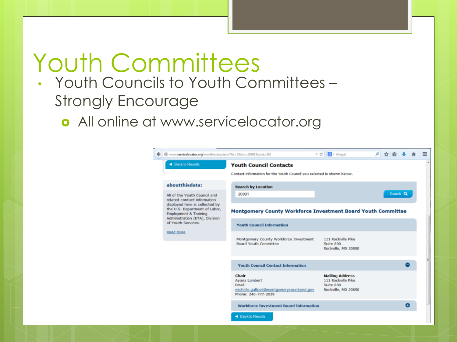## Youth Committees

#### • Youth Councils to Youth Committees – Strongly Encourage

**o** All online at www.servicelocator.org

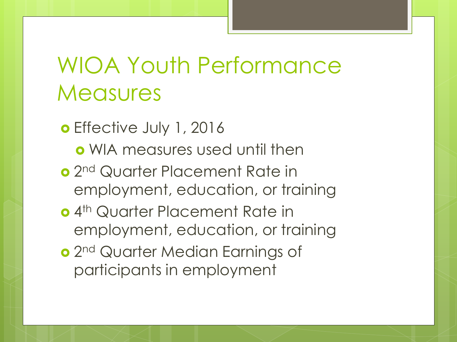#### WIOA Youth Performance **Measures**

o Effective July 1, 2016

- WIA measures used until then
- o 2<sup>nd</sup> Quarter Placement Rate in employment, education, or training
- o 4<sup>th</sup> Quarter Placement Rate in employment, education, or training
- o 2<sup>nd</sup> Quarter Median Earnings of participants in employment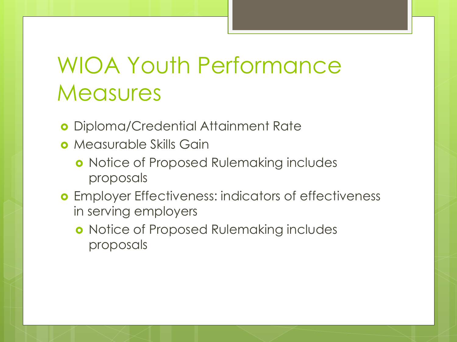#### WIOA Youth Performance **Measures**

- Diploma/Credential Attainment Rate
- **o** Measurable Skills Gain
	- **o** Notice of Proposed Rulemaking includes proposals
- **o** Employer Effectiveness: indicators of effectiveness in serving employers
	- **o** Notice of Proposed Rulemaking includes proposals